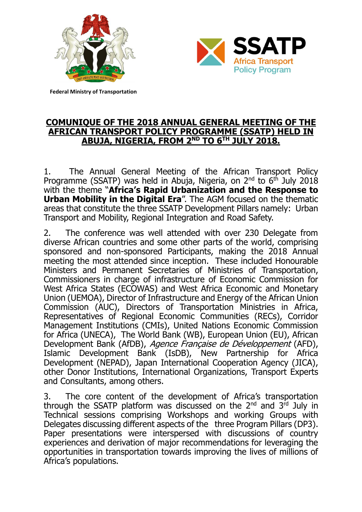



**Federal Ministry of Transportation**

#### **COMUNIQUE OF THE 2018 ANNUAL GENERAL MEETING OF THE AFRICAN TRANSPORT POLICY PROGRAMME (SSATP) HELD IN ABUJA, NIGERIA, FROM 2ND TO 6TH JULY 2018.**

1. The Annual General Meeting of the African Transport Policy Programme (SSATP) was held in Abuja, Nigeria, on  $2^{nd}$  to  $6^{th}$  July 2018 with the theme "**Africa's Rapid Urbanization and the Response to Urban Mobility in the Digital Era**". The AGM focused on the thematic areas that constitute the three SSATP Development Pillars namely: Urban Transport and Mobility, Regional Integration and Road Safety.

2. The conference was well attended with over 230 Delegate from diverse African countries and some other parts of the world, comprising sponsored and non-sponsored Participants, making the 2018 Annual meeting the most attended since inception. These included Honourable Ministers and Permanent Secretaries of Ministries of Transportation, Commissioners in charge of infrastructure of Economic Commission for West Africa States (ECOWAS) and West Africa Economic and Monetary Union (UEMOA), Director of Infrastructure and Energy of the African Union Commission (AUC), Directors of Transportation Ministries in Africa, Representatives of Regional Economic Communities (RECs), Corridor Management Institutions (CMIs), United Nations Economic Commission for Africa (UNECA), The World Bank (WB), European Union (EU), African Development Bank (AfDB), Agence Française de Développement (AFD), Islamic Development Bank (IsDB), New Partnership for Africa Development (NEPAD), Japan International Cooperation Agency (JICA), other Donor Institutions, International Organizations, Transport Experts and Consultants, among others.

3. The core content of the development of Africa's transportation through the SSATP platform was discussed on the 2<sup>nd</sup> and 3<sup>rd</sup> July in Technical sessions comprising Workshops and working Groups with Delegates discussing different aspects of the three Program Pillars (DP3). Paper presentations were interspersed with discussions of country experiences and derivation of major recommendations for leveraging the opportunities in transportation towards improving the lives of millions of Africa's populations.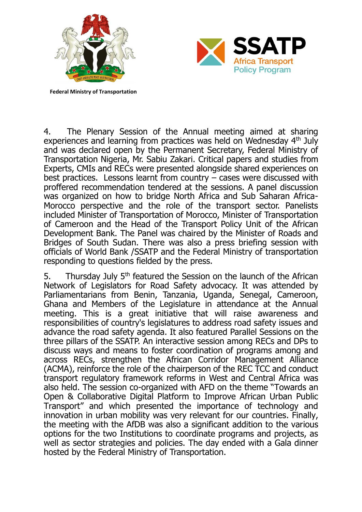



**Federal Ministry of Transportation**

4. The Plenary Session of the Annual meeting aimed at sharing experiences and learning from practices was held on Wednesday 4<sup>th</sup> July and was declared open by the Permanent Secretary, Federal Ministry of Transportation Nigeria, Mr. Sabiu Zakari. Critical papers and studies from Experts, CMIs and RECs were presented alongside shared experiences on best practices. Lessons learnt from country – cases were discussed with proffered recommendation tendered at the sessions. A panel discussion was organized on how to bridge North Africa and Sub Saharan Africa-Morocco perspective and the role of the transport sector. Panelists included Minister of Transportation of Morocco, Minister of Transportation of Cameroon and the Head of the Transport Policy Unit of the African Development Bank. The Panel was chaired by the Minister of Roads and Bridges of South Sudan. There was also a press briefing session with officials of World Bank /SSATP and the Federal Ministry of transportation responding to questions fielded by the press.

5. Thursday July  $5<sup>th</sup>$  featured the Session on the launch of the African Network of Legislators for Road Safety advocacy. It was attended by Parliamentarians from Benin, Tanzania, Uganda, Senegal, Cameroon, Ghana and Members of the Legislature in attendance at the Annual meeting. This is a great initiative that will raise awareness and responsibilities of country's legislatures to address road safety issues and advance the road safety agenda. It also featured Parallel Sessions on the three pillars of the SSATP. An interactive session among RECs and DPs to discuss ways and means to foster coordination of programs among and across RECs, strengthen the African Corridor Management Alliance (ACMA), reinforce the role of the chairperson of the REC TCC and conduct transport regulatory framework reforms in West and Central Africa was also held. The session co-organized with AFD on the theme "Towards an Open & Collaborative Digital Platform to Improve African Urban Public Transport" and which presented the importance of technology and innovation in urban mobility was very relevant for our countries. Finally, the meeting with the AfDB was also a significant addition to the various options for the two Institutions to coordinate programs and projects, as well as sector strategies and policies. The day ended with a Gala dinner hosted by the Federal Ministry of Transportation.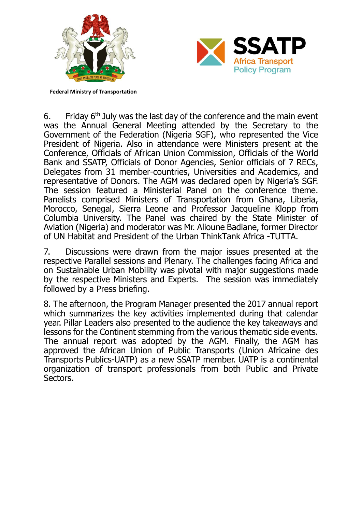



**Federal Ministry of Transportation**

6. Friday  $6<sup>th</sup>$  July was the last day of the conference and the main event was the Annual General Meeting attended by the Secretary to the Government of the Federation (Nigeria SGF), who represented the Vice President of Nigeria. Also in attendance were Ministers present at the Conference, Officials of African Union Commission, Officials of the World Bank and SSATP, Officials of Donor Agencies, Senior officials of 7 RECs, Delegates from 31 member-countries, Universities and Academics, and representative of Donors. The AGM was declared open by Nigeria's SGF. The session featured a Ministerial Panel on the conference theme. Panelists comprised Ministers of Transportation from Ghana, Liberia, Morocco, Senegal, Sierra Leone and Professor Jacqueline Klopp from Columbia University. The Panel was chaired by the State Minister of Aviation (Nigeria) and moderator was Mr. Alioune Badiane, former Director of UN Habitat and President of the Urban ThinkTank Africa -TUTTA.

7. Discussions were drawn from the major issues presented at the respective Parallel sessions and Plenary. The challenges facing Africa and on Sustainable Urban Mobility was pivotal with major suggestions made by the respective Ministers and Experts. The session was immediately followed by a Press briefing.

8. The afternoon, the Program Manager presented the 2017 annual report which summarizes the key activities implemented during that calendar year. Pillar Leaders also presented to the audience the key takeaways and lessons for the Continent stemming from the various thematic side events. The annual report was adopted by the AGM. Finally, the AGM has approved the African Union of Public Transports (Union Africaine des Transports Publics-UATP) as a new SSATP member. UATP is a continental organization of transport professionals from both Public and Private Sectors.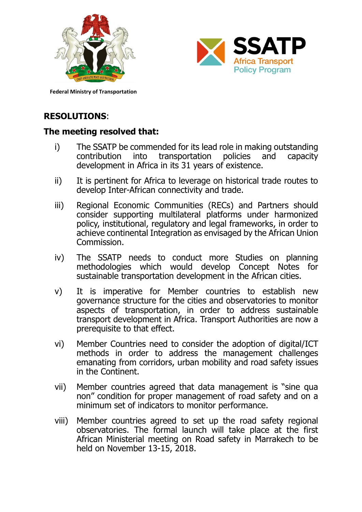



**Federal Ministry of Transportation**

# **RESOLUTIONS**:

### **The meeting resolved that:**

- i) The SSATP be commended for its lead role in making outstanding contribution into transportation policies and capacity development in Africa in its 31 years of existence.
- ii) It is pertinent for Africa to leverage on historical trade routes to develop Inter-African connectivity and trade.
- iii) Regional Economic Communities (RECs) and Partners should consider supporting multilateral platforms under harmonized policy, institutional, regulatory and legal frameworks, in order to achieve continental Integration as envisaged by the African Union Commission.
- iv) The SSATP needs to conduct more Studies on planning methodologies which would develop Concept Notes for sustainable transportation development in the African cities.
- v) It is imperative for Member countries to establish new governance structure for the cities and observatories to monitor aspects of transportation, in order to address sustainable transport development in Africa. Transport Authorities are now a prerequisite to that effect.
- vi) Member Countries need to consider the adoption of digital/ICT methods in order to address the management challenges emanating from corridors, urban mobility and road safety issues in the Continent.
- vii) Member countries agreed that data management is "sine qua non" condition for proper management of road safety and on a minimum set of indicators to monitor performance.
- viii) Member countries agreed to set up the road safety regional observatories. The formal launch will take place at the first African Ministerial meeting on Road safety in Marrakech to be held on November 13-15, 2018.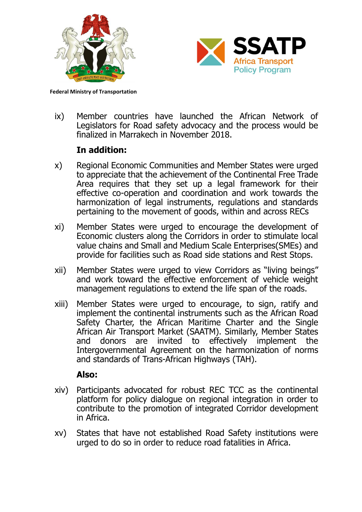



**Federal Ministry of Transportation**

ix) Member countries have launched the African Network of Legislators for Road safety advocacy and the process would be finalized in Marrakech in November 2018.

## **In addition:**

- x) Regional Economic Communities and Member States were urged to appreciate that the achievement of the Continental Free Trade Area requires that they set up a legal framework for their effective co-operation and coordination and work towards the harmonization of legal instruments, regulations and standards pertaining to the movement of goods, within and across RECs
- xi) Member States were urged to encourage the development of Economic clusters along the Corridors in order to stimulate local value chains and Small and Medium Scale Enterprises(SMEs) and provide for facilities such as Road side stations and Rest Stops.
- xii) Member States were urged to view Corridors as "living beings" and work toward the effective enforcement of vehicle weight management regulations to extend the life span of the roads.
- xiii) Member States were urged to encourage, to sign, ratify and implement the continental instruments such as the African Road Safety Charter, the African Maritime Charter and the Single African Air Transport Market (SAATM). Similarly, Member States and donors are invited to effectively implement the Intergovernmental Agreement on the harmonization of norms and standards of Trans-African Highways (TAH).

### **Also:**

- xiv) Participants advocated for robust REC TCC as the continental platform for policy dialogue on regional integration in order to contribute to the promotion of integrated Corridor development in Africa.
- xv) States that have not established Road Safety institutions were urged to do so in order to reduce road fatalities in Africa.